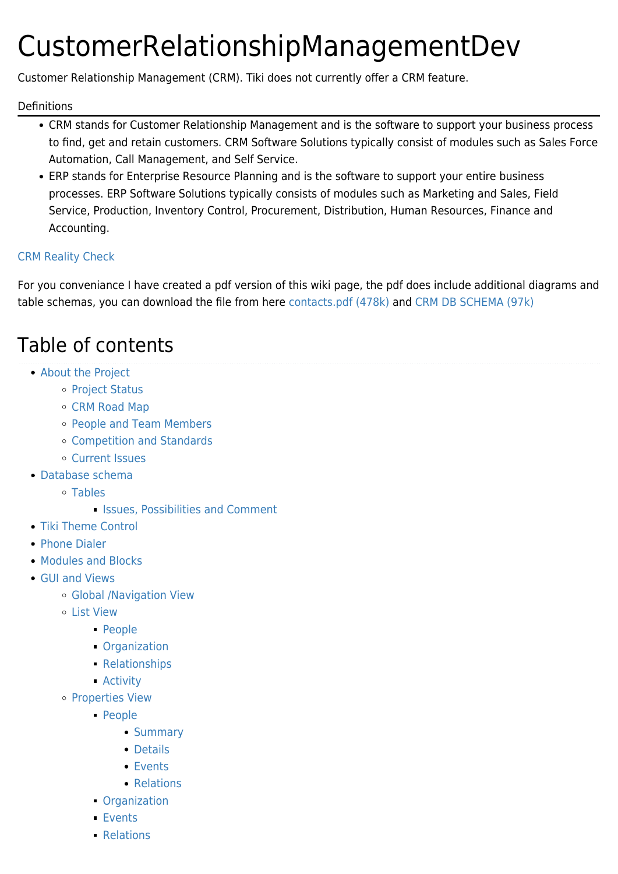# CustomerRelationshipManagementDev

Customer Relationship Management (CRM). Tiki does not currently offer a CRM feature.

#### Definitions

- CRM stands for Customer Relationship Management and is the software to support your business process to find, get and retain customers. CRM Software Solutions typically consist of modules such as Sales Force Automation, Call Management, and Self Service.
- ERP stands for Enterprise Resource Planning and is the software to support your entire business processes. ERP Software Solutions typically consists of modules such as Marketing and Sales, Field Service, Production, Inventory Control, Procurement, Distribution, Human Resources, Finance and Accounting.

#### [CRM Reality Check](https://tiki.org/CRM-Reality-Check)

For you conveniance I have created a pdf version of this wiki page, the pdf does include additional diagrams and table schemas, you can download the file from here [contacts.pdf \(478k\)](http://tiki.org/tiki-download_file.php?fileId=8) and [CRM DB SCHEMA \(97k\)](http://tiki.org/tiki-download_file.php?fileId=7)

## Table of contents

- [About the Project](#page--1-0)
	- [Project Status](#page--1-0)
	- [CRM Road Map](#page--1-0)
	- [People and Team Members](#page--1-0)
	- [Competition and Standards](#page--1-0)
	- [Current Issues](#page--1-0)
- [Database schema](#page--1-0)
	- [Tables](#page--1-0)
		- **In [Issues, Possibilities and Comment](#page--1-0)**
- [Tiki Theme Control](#page--1-0)
- [Phone Dialer](#page--1-0)
- [Modules and Blocks](#page--1-0)
- [GUI and Views](#page--1-0)
	- [Global /Navigation View](#page--1-0)
	- [List View](#page--1-0)
		- [People](#page--1-0)
		- [Organization](#page--1-0)
		- [Relationships](#page--1-0)
		- [Activity](#page--1-0)
	- o [Properties View](#page--1-0)
		- [People](#page--1-0)
			- [Summary](#page--1-0)
			- [Details](#page--1-0)
			- [Events](#page--1-0)
			- [Relations](#page--1-0)
		- [Organization](#page--1-0)
		- [Events](#page--1-0)
		- [Relations](#page--1-0)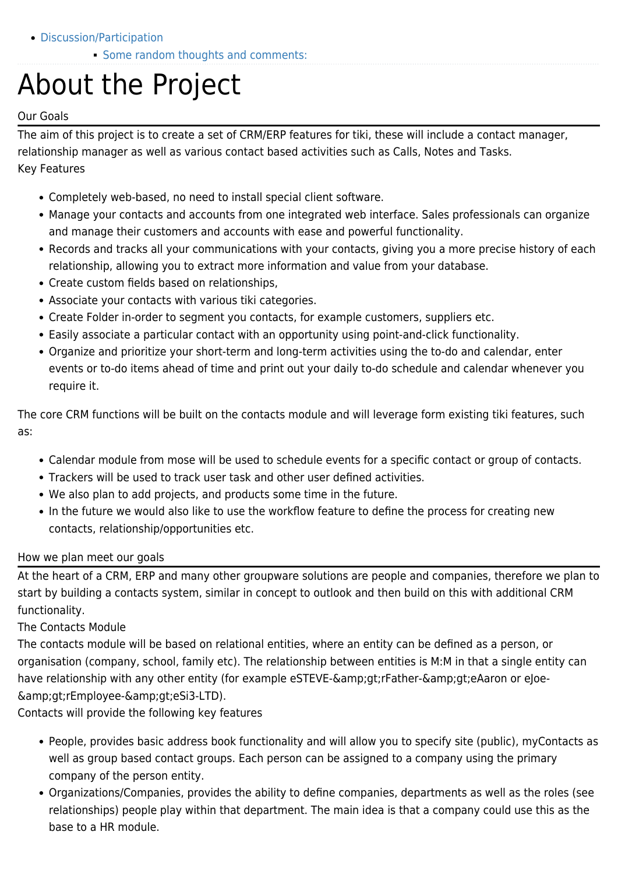- [Discussion/Participation](#page--1-0)
	- [Some random thoughts and comments:](#page--1-0)

# About the Project

#### Our Goals

The aim of this project is to create a set of CRM/ERP features for tiki, these will include a contact manager, relationship manager as well as various contact based activities such as Calls, Notes and Tasks. Key Features

- Completely web-based, no need to install special client software.
- Manage your contacts and accounts from one integrated web interface. Sales professionals can organize and manage their customers and accounts with ease and powerful functionality.
- Records and tracks all your communications with your contacts, giving you a more precise history of each relationship, allowing you to extract more information and value from your database.
- Create custom fields based on relationships,
- Associate your contacts with various tiki categories.
- Create Folder in-order to segment you contacts, for example customers, suppliers etc.
- Easily associate a particular contact with an opportunity using point-and-click functionality.
- Organize and prioritize your short-term and long-term activities using the to-do and calendar, enter events or to-do items ahead of time and print out your daily to-do schedule and calendar whenever you require it.

The core CRM functions will be built on the contacts module and will leverage form existing tiki features, such as:

- Calendar module from mose will be used to schedule events for a specific contact or group of contacts.
- Trackers will be used to track user task and other user defined activities.
- We also plan to add projects, and products some time in the future.
- In the future we would also like to use the workflow feature to define the process for creating new contacts, relationship/opportunities etc.

#### How we plan meet our goals

At the heart of a CRM, ERP and many other groupware solutions are people and companies, therefore we plan to start by building a contacts system, similar in concept to outlook and then build on this with additional CRM functionality.

#### The Contacts Module

The contacts module will be based on relational entities, where an entity can be defined as a person, or organisation (company, school, family etc). The relationship between entities is M:M in that a single entity can have relationship with any other entity (for example eSTEVE-&qt;rFather-&qt;eAaron or eJoe- $\&grrEmployee-&gref;eSi3-LTD$ ).

Contacts will provide the following key features

- People, provides basic address book functionality and will allow you to specify site (public), myContacts as well as group based contact groups. Each person can be assigned to a company using the primary company of the person entity.
- Organizations/Companies, provides the ability to define companies, departments as well as the roles (see relationships) people play within that department. The main idea is that a company could use this as the base to a HR module.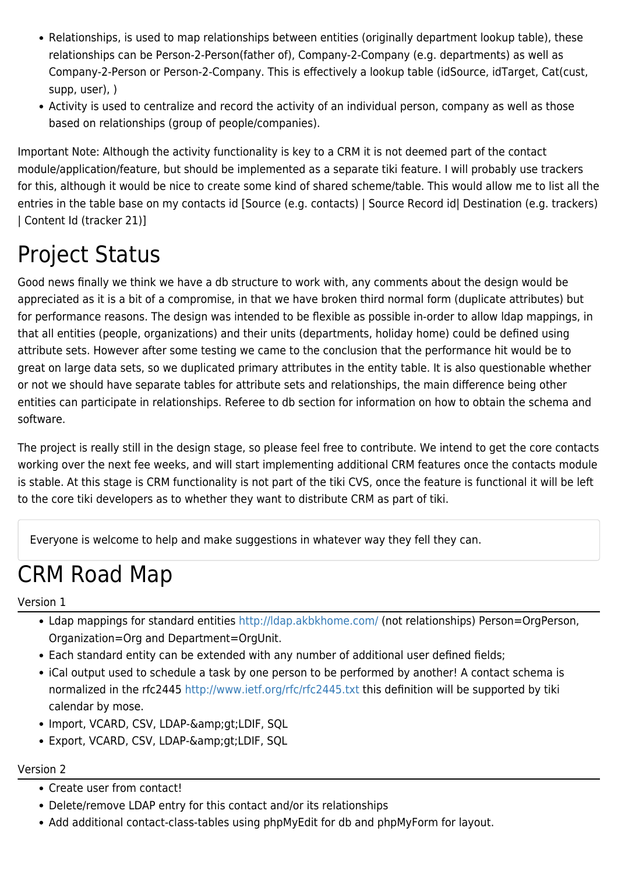- Relationships, is used to map relationships between entities (originally department lookup table), these relationships can be Person-2-Person(father of), Company-2-Company (e.g. departments) as well as Company-2-Person or Person-2-Company. This is effectively a lookup table (idSource, idTarget, Cat(cust, supp, user), )
- Activity is used to centralize and record the activity of an individual person, company as well as those based on relationships (group of people/companies).

Important Note: Although the activity functionality is key to a CRM it is not deemed part of the contact module/application/feature, but should be implemented as a separate tiki feature. I will probably use trackers for this, although it would be nice to create some kind of shared scheme/table. This would allow me to list all the entries in the table base on my contacts id [Source (e.g. contacts) | Source Record id| Destination (e.g. trackers) | Content Id (tracker 21)]

## Project Status

Good news finally we think we have a db structure to work with, any comments about the design would be appreciated as it is a bit of a compromise, in that we have broken third normal form (duplicate attributes) but for performance reasons. The design was intended to be flexible as possible in-order to allow ldap mappings, in that all entities (people, organizations) and their units (departments, holiday home) could be defined using attribute sets. However after some testing we came to the conclusion that the performance hit would be to great on large data sets, so we duplicated primary attributes in the entity table. It is also questionable whether or not we should have separate tables for attribute sets and relationships, the main difference being other entities can participate in relationships. Referee to db section for information on how to obtain the schema and software.

The project is really still in the design stage, so please feel free to contribute. We intend to get the core contacts working over the next fee weeks, and will start implementing additional CRM features once the contacts module is stable. At this stage is CRM functionality is not part of the tiki CVS, once the feature is functional it will be left to the core tiki developers as to whether they want to distribute CRM as part of tiki.

Everyone is welcome to help and make suggestions in whatever way they fell they can.

## CRM Road Map

Version 1

- Ldap mappings for standard entities<http://ldap.akbkhome.com/>(not relationships) Person=OrgPerson, Organization=Org and Department=OrgUnit.
- Each standard entity can be extended with any number of additional user defined fields;
- iCal output used to schedule a task by one person to be performed by another! A contact schema is normalized in the rfc2445<http://www.ietf.org/rfc/rfc2445.txt> this definition will be supported by tiki calendar by mose.
- Import, VCARD, CSV, LDAP-&qt;LDIF, SQL
- Export, VCARD, CSV, LDAP-& qt; LDIF, SQL

#### Version 2

- Create user from contact!
- Delete/remove LDAP entry for this contact and/or its relationships
- Add additional contact-class-tables using phpMyEdit for db and phpMyForm for layout.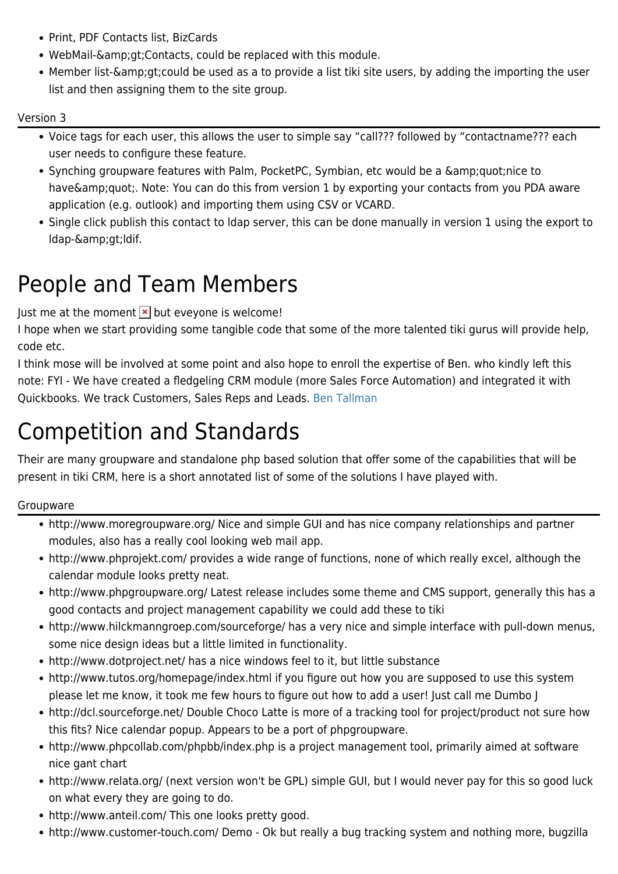- Print, PDF Contacts list, BizCards
- WebMail->Contacts, could be replaced with this module.
- Member list-& gt; could be used as a to provide a list tiki site users, by adding the importing the user list and then assigning them to the site group.

#### Version 3

- Voice tags for each user, this allows the user to simple say "call??? followed by "contactname??? each user needs to configure these feature.
- Synching groupware features with Palm, PocketPC, Symbian, etc would be a  $\&$ amp;quot;nice to have & amp; quot;. Note: You can do this from version 1 by exporting your contacts from you PDA aware application (e.g. outlook) and importing them using CSV or VCARD.
- Single click publish this contact to ldap server, this can be done manually in version 1 using the export to ldap->ldif.

## People and Team Members

Just me at the moment  $\mathbf{\times}$  but eveyone is welcome!

I hope when we start providing some tangible code that some of the more talented tiki gurus will provide help, code etc.

I think mose will be involved at some point and also hope to enroll the expertise of Ben. who kindly left this note: FYI - We have created a fledgeling CRM module (more Sales Force Automation) and integrated it with Quickbooks. We track Customers, Sales Reps and Leads. [Ben Tallman](https://tiki.org/UserPagebtallman)

## Competition and Standards

Their are many groupware and standalone php based solution that offer some of the capabilities that will be present in tiki CRM, here is a short annotated list of some of the solutions I have played with.

#### Groupware

- http://www.moregroupware.org/ Nice and simple GUI and has nice company relationships and partner modules, also has a really cool looking web mail app.
- http://www.phprojekt.com/ provides a wide range of functions, none of which really excel, although the calendar module looks pretty neat.
- http://www.phpgroupware.org/ Latest release includes some theme and CMS support, generally this has a good contacts and project management capability we could add these to tiki
- http://www.hilckmanngroep.com/sourceforge/ has a very nice and simple interface with pull-down menus, some nice design ideas but a little limited in functionality.
- http://www.dotproject.net/ has a nice windows feel to it, but little substance
- http://www.tutos.org/homepage/index.html if you figure out how you are supposed to use this system please let me know, it took me few hours to figure out how to add a user! Just call me Dumbo J
- http://dcl.sourceforge.net/ Double Choco Latte is more of a tracking tool for project/product not sure how this fits? Nice calendar popup. Appears to be a port of phpgroupware.
- http://www.phpcollab.com/phpbb/index.php is a project management tool, primarily aimed at software nice gant chart
- http://www.relata.org/ (next version won't be GPL) simple GUI, but I would never pay for this so good luck on what every they are going to do.
- http://www.anteil.com/ This one looks pretty good.
- http://www.customer-touch.com/ Demo Ok but really a bug tracking system and nothing more, bugzilla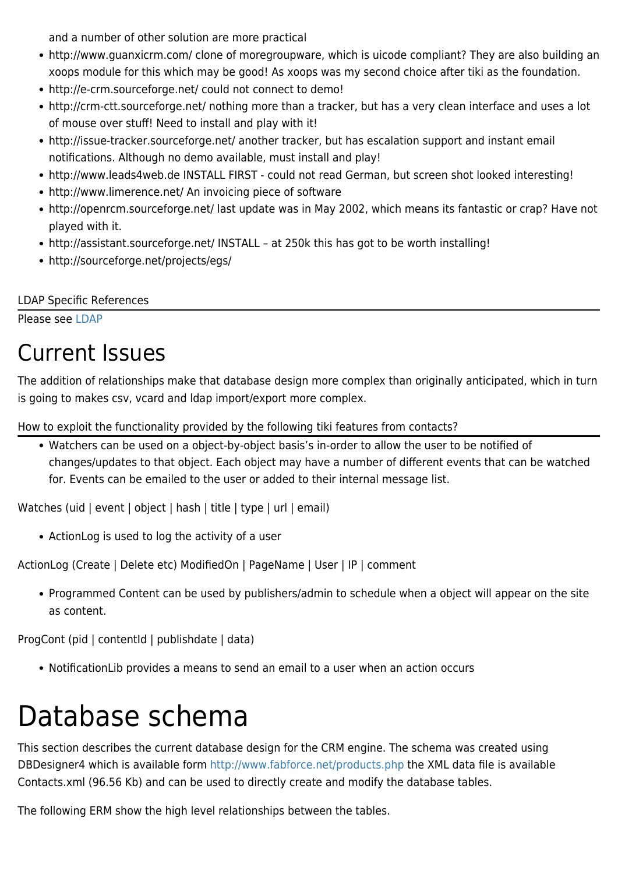and a number of other solution are more practical

- http://www.guanxicrm.com/ clone of moregroupware, which is uicode compliant? They are also building an xoops module for this which may be good! As xoops was my second choice after tiki as the foundation.
- http://e-crm.sourceforge.net/ could not connect to demo!
- http://crm-ctt.sourceforge.net/ nothing more than a tracker, but has a very clean interface and uses a lot of mouse over stuff! Need to install and play with it!
- http://issue-tracker.sourceforge.net/ another tracker, but has escalation support and instant email notifications. Although no demo available, must install and play!
- http://www.leads4web.de INSTALL FIRST could not read German, but screen shot looked interesting!
- http://www.limerence.net/ An invoicing piece of software
- http://openrcm.sourceforge.net/ last update was in May 2002, which means its fantastic or crap? Have not played with it.
- http://assistant.sourceforge.net/ INSTALL at 250k this has got to be worth installing!
- http://sourceforge.net/projects/egs/

LDAP Specific References

Please see [LDAP](https://tiki.org/LDAP)

## Current Issues

The addition of relationships make that database design more complex than originally anticipated, which in turn is going to makes csv, vcard and ldap import/export more complex.

How to exploit the functionality provided by the following tiki features from contacts?

Watchers can be used on a object-by-object basis's in-order to allow the user to be notified of changes/updates to that object. Each object may have a number of different events that can be watched for. Events can be emailed to the user or added to their internal message list.

Watches (uid | event | object | hash | title | type | url | email)

ActionLog is used to log the activity of a user

ActionLog (Create | Delete etc) ModifiedOn | PageName | User | IP | comment

Programmed Content can be used by publishers/admin to schedule when a object will appear on the site as content.

ProgCont (pid | contentId | publishdate | data)

NotificationLib provides a means to send an email to a user when an action occurs

# Database schema

This section describes the current database design for the CRM engine. The schema was created using DBDesigner4 which is available form <http://www.fabforce.net/products.php> the XML data file is available Contacts.xml (96.56 Kb) and can be used to directly create and modify the database tables.

The following ERM show the high level relationships between the tables.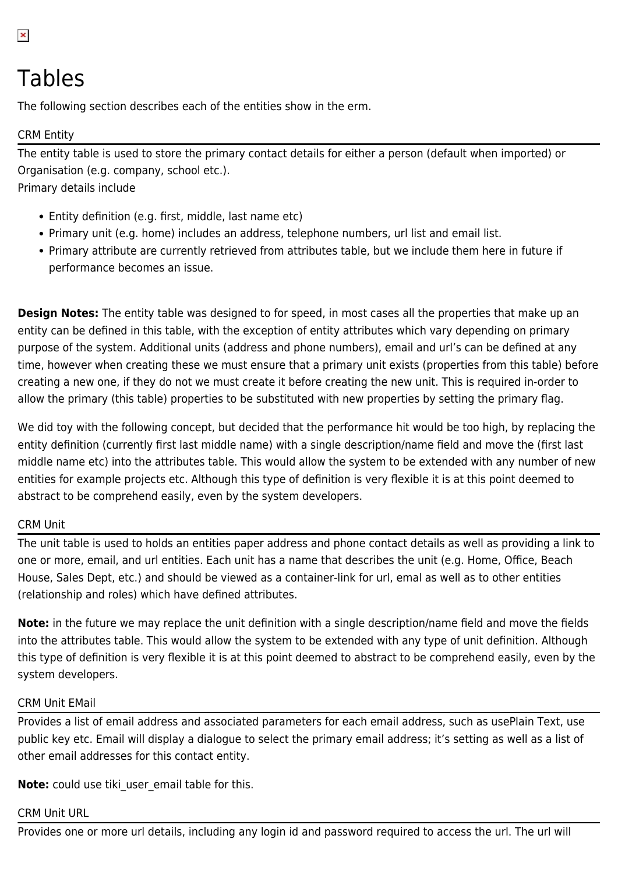## Tables

The following section describes each of the entities show in the erm.

#### CRM Entity

The entity table is used to store the primary contact details for either a person (default when imported) or Organisation (e.g. company, school etc.).

Primary details include

- Entity definition (e.g. first, middle, last name etc)
- Primary unit (e.g. home) includes an address, telephone numbers, url list and email list.
- Primary attribute are currently retrieved from attributes table, but we include them here in future if performance becomes an issue.

**Design Notes:** The entity table was designed to for speed, in most cases all the properties that make up an entity can be defined in this table, with the exception of entity attributes which vary depending on primary purpose of the system. Additional units (address and phone numbers), email and url's can be defined at any time, however when creating these we must ensure that a primary unit exists (properties from this table) before creating a new one, if they do not we must create it before creating the new unit. This is required in-order to allow the primary (this table) properties to be substituted with new properties by setting the primary flag.

We did toy with the following concept, but decided that the performance hit would be too high, by replacing the entity definition (currently first last middle name) with a single description/name field and move the (first last middle name etc) into the attributes table. This would allow the system to be extended with any number of new entities for example projects etc. Although this type of definition is very flexible it is at this point deemed to abstract to be comprehend easily, even by the system developers.

#### CRM Unit

The unit table is used to holds an entities paper address and phone contact details as well as providing a link to one or more, email, and url entities. Each unit has a name that describes the unit (e.g. Home, Office, Beach House, Sales Dept, etc.) and should be viewed as a container-link for url, emal as well as to other entities (relationship and roles) which have defined attributes.

**Note:** in the future we may replace the unit definition with a single description/name field and move the fields into the attributes table. This would allow the system to be extended with any type of unit definition. Although this type of definition is very flexible it is at this point deemed to abstract to be comprehend easily, even by the system developers.

#### CRM Unit EMail

Provides a list of email address and associated parameters for each email address, such as usePlain Text, use public key etc. Email will display a dialogue to select the primary email address; it's setting as well as a list of other email addresses for this contact entity.

**Note:** could use tiki\_user\_email table for this.

#### CRM Unit URL

Provides one or more url details, including any login id and password required to access the url. The url will

 $\pmb{\times}$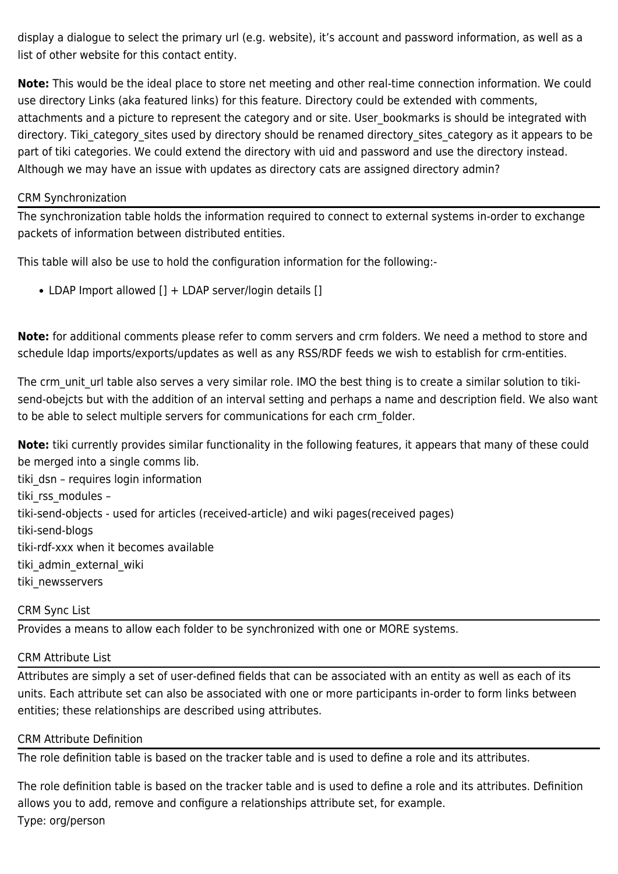display a dialogue to select the primary url (e.g. website), it's account and password information, as well as a list of other website for this contact entity.

**Note:** This would be the ideal place to store net meeting and other real-time connection information. We could use directory Links (aka featured links) for this feature. Directory could be extended with comments, attachments and a picture to represent the category and or site. User bookmarks is should be integrated with directory. Tiki category sites used by directory should be renamed directory sites category as it appears to be part of tiki categories. We could extend the directory with uid and password and use the directory instead. Although we may have an issue with updates as directory cats are assigned directory admin?

#### CRM Synchronization

The synchronization table holds the information required to connect to external systems in-order to exchange packets of information between distributed entities.

This table will also be use to hold the configuration information for the following:-

• LDAP Import allowed [] + LDAP server/login details []

**Note:** for additional comments please refer to comm servers and crm folders. We need a method to store and schedule ldap imports/exports/updates as well as any RSS/RDF feeds we wish to establish for crm-entities.

The crm unit url table also serves a very similar role. IMO the best thing is to create a similar solution to tikisend-obejcts but with the addition of an interval setting and perhaps a name and description field. We also want to be able to select multiple servers for communications for each crm\_folder.

**Note:** tiki currently provides similar functionality in the following features, it appears that many of these could be merged into a single comms lib. tiki dsn - requires login information tiki rss modules – tiki-send-objects - used for articles (received-article) and wiki pages(received pages) tiki-send-blogs tiki-rdf-xxx when it becomes available tiki admin external wiki tiki newsservers

#### CRM Sync List

Provides a means to allow each folder to be synchronized with one or MORE systems.

#### CRM Attribute List

Attributes are simply a set of user-defined fields that can be associated with an entity as well as each of its units. Each attribute set can also be associated with one or more participants in-order to form links between entities; these relationships are described using attributes.

#### CRM Attribute Definition

The role definition table is based on the tracker table and is used to define a role and its attributes.

The role definition table is based on the tracker table and is used to define a role and its attributes. Definition allows you to add, remove and configure a relationships attribute set, for example. Type: org/person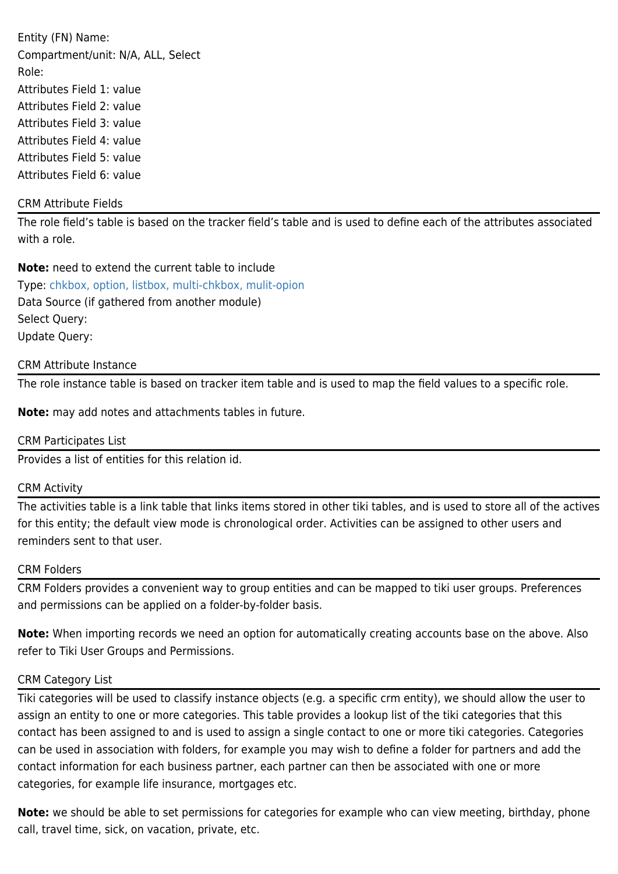Entity (FN) Name: Compartment/unit: N/A, ALL, Select Role: Attributes Field 1: value Attributes Field 2: value Attributes Field 3: value Attributes Field 4: value Attributes Field 5: value Attributes Field 6: value

#### CRM Attribute Fields

The role field's table is based on the tracker field's table and is used to define each of the attributes associated with a role.

**Note:** need to extend the current table to include Type: [chkbox, option, listbox, multi-chkbox, mulit-opion](https://tiki.org/chkbox,%20option,%20listbox,%20multi-chkbox,%20mulit-opion) Data Source (if gathered from another module) Select Query: Update Query:

#### CRM Attribute Instance

The role instance table is based on tracker item table and is used to map the field values to a specific role.

**Note:** may add notes and attachments tables in future.

#### CRM Participates List

Provides a list of entities for this relation id.

#### CRM Activity

The activities table is a link table that links items stored in other tiki tables, and is used to store all of the actives for this entity; the default view mode is chronological order. Activities can be assigned to other users and reminders sent to that user.

#### CRM Folders

CRM Folders provides a convenient way to group entities and can be mapped to tiki user groups. Preferences and permissions can be applied on a folder-by-folder basis.

**Note:** When importing records we need an option for automatically creating accounts base on the above. Also refer to Tiki User Groups and Permissions.

#### CRM Category List

Tiki categories will be used to classify instance objects (e.g. a specific crm entity), we should allow the user to assign an entity to one or more categories. This table provides a lookup list of the tiki categories that this contact has been assigned to and is used to assign a single contact to one or more tiki categories. Categories can be used in association with folders, for example you may wish to define a folder for partners and add the contact information for each business partner, each partner can then be associated with one or more categories, for example life insurance, mortgages etc.

**Note:** we should be able to set permissions for categories for example who can view meeting, birthday, phone call, travel time, sick, on vacation, private, etc.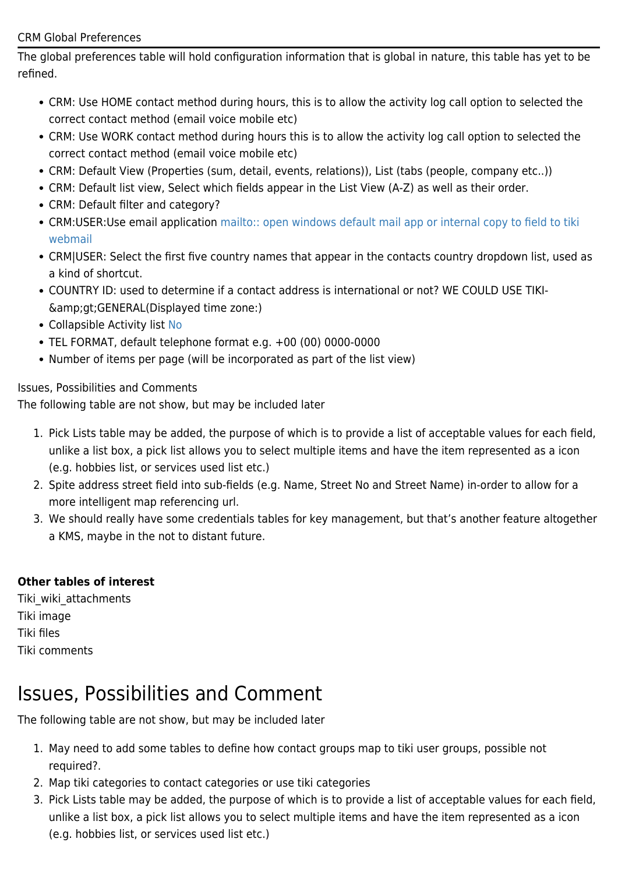#### CRM Global Preferences

The global preferences table will hold configuration information that is global in nature, this table has yet to be refined.

- CRM: Use HOME contact method during hours, this is to allow the activity log call option to selected the correct contact method (email voice mobile etc)
- CRM: Use WORK contact method during hours this is to allow the activity log call option to selected the correct contact method (email voice mobile etc)
- CRM: Default View (Properties (sum, detail, events, relations)), List (tabs (people, company etc..))
- CRM: Default list view, Select which fields appear in the List View (A-Z) as well as their order.
- CRM: Default filter and category?
- CRM:USER:Use email application [mailto:: open windows default mail app or internal copy to field to tiki](#page--1-0) [webmail](#page--1-0)
- CRM|USER: Select the first five country names that appear in the contacts country dropdown list, used as a kind of shortcut.
- COUNTRY ID: used to determine if a contact address is international or not? WE COULD USE TIKI-  $\&igtGENERAL(Dis played time zone:$
- Collapsible Activity list [No](https://tiki.org/Yes)
- TEL FORMAT, default telephone format e.g. +00 (00) 0000-0000
- Number of items per page (will be incorporated as part of the list view)

Issues, Possibilities and Comments

The following table are not show, but may be included later

- 1. Pick Lists table may be added, the purpose of which is to provide a list of acceptable values for each field, unlike a list box, a pick list allows you to select multiple items and have the item represented as a icon (e.g. hobbies list, or services used list etc.)
- 2. Spite address street field into sub-fields (e.g. Name, Street No and Street Name) in-order to allow for a more intelligent map referencing url.
- 3. We should really have some credentials tables for key management, but that's another feature altogether a KMS, maybe in the not to distant future.

#### **Other tables of interest**

Tiki\_wiki\_attachments Tiki image Tiki files Tiki comments

### Issues, Possibilities and Comment

The following table are not show, but may be included later

- 1. May need to add some tables to define how contact groups map to tiki user groups, possible not required?.
- 2. Map tiki categories to contact categories or use tiki categories
- 3. Pick Lists table may be added, the purpose of which is to provide a list of acceptable values for each field, unlike a list box, a pick list allows you to select multiple items and have the item represented as a icon (e.g. hobbies list, or services used list etc.)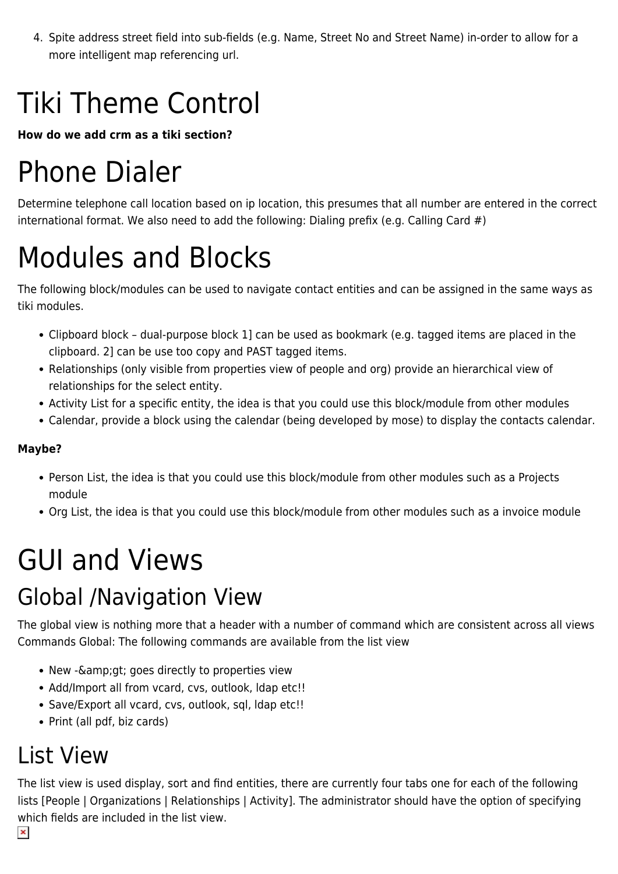4. Spite address street field into sub-fields (e.g. Name, Street No and Street Name) in-order to allow for a more intelligent map referencing url.

# Tiki Theme Control

**How do we add crm as a tiki section?**

# Phone Dialer

Determine telephone call location based on ip location, this presumes that all number are entered in the correct international format. We also need to add the following: Dialing prefix (e.g. Calling Card #)

# Modules and Blocks

The following block/modules can be used to navigate contact entities and can be assigned in the same ways as tiki modules.

- Clipboard block dual-purpose block 1] can be used as bookmark (e.g. tagged items are placed in the clipboard. 2] can be use too copy and PAST tagged items.
- Relationships (only visible from properties view of people and org) provide an hierarchical view of relationships for the select entity.
- Activity List for a specific entity, the idea is that you could use this block/module from other modules
- Calendar, provide a block using the calendar (being developed by mose) to display the contacts calendar.

#### **Maybe?**

- Person List, the idea is that you could use this block/module from other modules such as a Projects module
- Org List, the idea is that you could use this block/module from other modules such as a invoice module

# GUI and Views

## Global /Navigation View

The global view is nothing more that a header with a number of command which are consistent across all views Commands Global: The following commands are available from the list view

- New & amp; gt; goes directly to properties view
- Add/Import all from vcard, cvs, outlook, Idap etc!!
- Save/Export all vcard, cvs, outlook, sql, ldap etc!!
- Print (all pdf, biz cards)

## List View

The list view is used display, sort and find entities, there are currently four tabs one for each of the following lists [People | Organizations | Relationships | Activity]. The administrator should have the option of specifying which fields are included in the list view.

 $\pmb{\times}$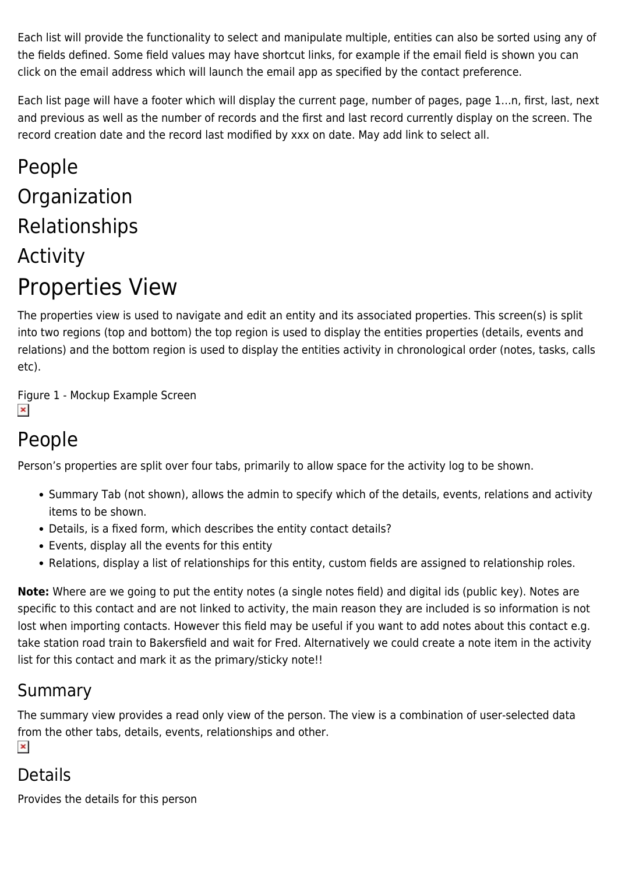Each list will provide the functionality to select and manipulate multiple, entities can also be sorted using any of the fields defined. Some field values may have shortcut links, for example if the email field is shown you can click on the email address which will launch the email app as specified by the contact preference.

Each list page will have a footer which will display the current page, number of pages, page 1…n, first, last, next and previous as well as the number of records and the first and last record currently display on the screen. The record creation date and the record last modified by xxx on date. May add link to select all.

## People Organization Relationships Activity Properties View

The properties view is used to navigate and edit an entity and its associated properties. This screen(s) is split into two regions (top and bottom) the top region is used to display the entities properties (details, events and relations) and the bottom region is used to display the entities activity in chronological order (notes, tasks, calls etc).

Figure 1 - Mockup Example Screen  $\pmb{\times}$ 

## People

Person's properties are split over four tabs, primarily to allow space for the activity log to be shown.

- Summary Tab (not shown), allows the admin to specify which of the details, events, relations and activity items to be shown.
- Details, is a fixed form, which describes the entity contact details?
- Events, display all the events for this entity
- Relations, display a list of relationships for this entity, custom fields are assigned to relationship roles.

**Note:** Where are we going to put the entity notes (a single notes field) and digital ids (public key). Notes are specific to this contact and are not linked to activity, the main reason they are included is so information is not lost when importing contacts. However this field may be useful if you want to add notes about this contact e.g. take station road train to Bakersfield and wait for Fred. Alternatively we could create a note item in the activity list for this contact and mark it as the primary/sticky note!!

### Summary

The summary view provides a read only view of the person. The view is a combination of user-selected data from the other tabs, details, events, relationships and other.  $\pmb{\times}$ 

### Details

Provides the details for this person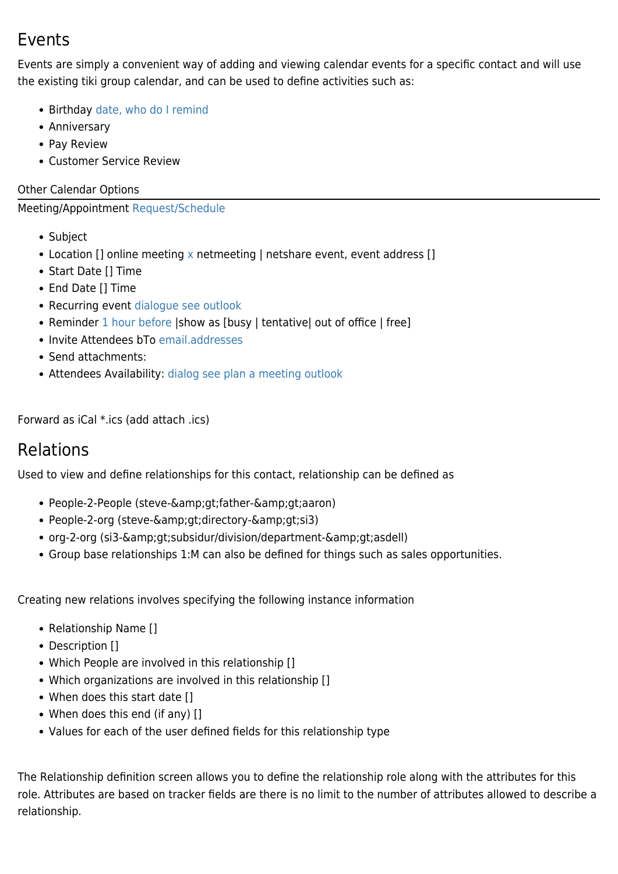### Events

Events are simply a convenient way of adding and viewing calendar events for a specific contact and will use the existing tiki group calendar, and can be used to define activities such as:

- Birthday [date, who do I remind](https://tiki.org/date,%20who%20do%20I%20remind)
- Anniversary
- Pay Review
- Customer Service Review

#### Other Calendar Options

#### Meeting/Appointment [Request/Schedule](https://tiki.org/Request/Schedule)

- Subject
- Location [] online meeting [x](https://tiki.org/x) netmeeting | netshare event, event address []
- Start Date [] Time
- End Date [] Time
- Recurring event [dialogue see outlook](https://tiki.org/dialogue%20see%20outlook)
- Reminder [1 hour before](https://tiki.org/1%20hour%20before) | show as [busy | tentative| out of office | free]
- Invite Attendees bTo [email.addresses](https://tiki.org/email.addresses)
- Send attachments:
- Attendees Availability: [dialog see plan a meeting outlook](https://tiki.org/dialog%20see%20plan%20a%20meeting%20outlook)

Forward as iCal \*.ics (add attach .ics)

### Relations

Used to view and define relationships for this contact, relationship can be defined as

- People-2-People (steve->father->aaron)
- People-2-org (steve->directory->si3)
- org-2-org (si3->subsidur/division/department->asdell)
- Group base relationships 1:M can also be defined for things such as sales opportunities.

Creating new relations involves specifying the following instance information

- Relationship Name []
- Description []
- Which People are involved in this relationship []
- Which organizations are involved in this relationship []
- When does this start date []
- When does this end (if any) []
- Values for each of the user defined fields for this relationship type

The Relationship definition screen allows you to define the relationship role along with the attributes for this role. Attributes are based on tracker fields are there is no limit to the number of attributes allowed to describe a relationship.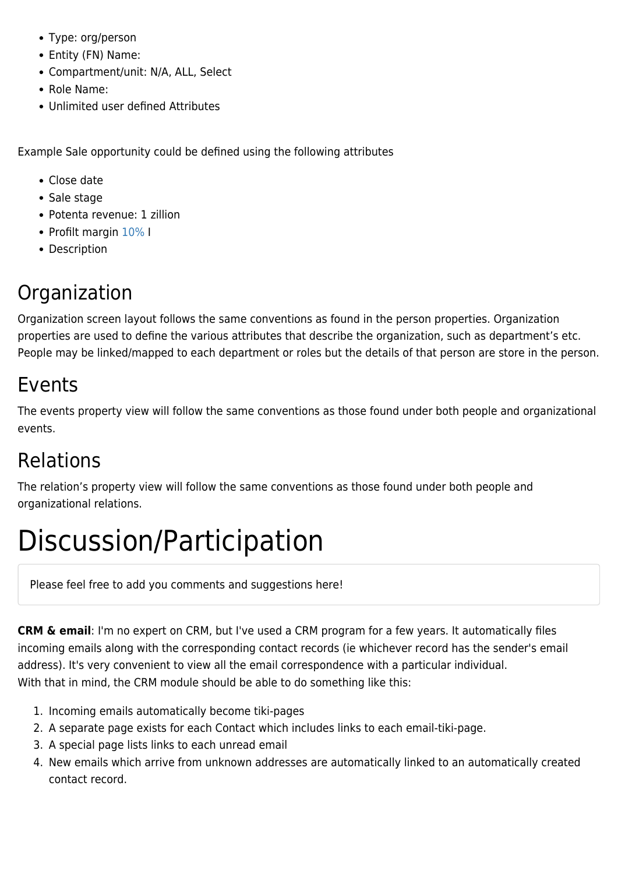- Type: org/person
- Entity (FN) Name:
- Compartment/unit: N/A, ALL, Select
- Role Name:
- Unlimited user defined Attributes

Example Sale opportunity could be defined using the following attributes

- Close date
- Sale stage
- Potenta revenue: 1 zillion
- Profilt margin [10%](https://tiki.org/10%) I
- Description

### Organization

Organization screen layout follows the same conventions as found in the person properties. Organization properties are used to define the various attributes that describe the organization, such as department's etc. People may be linked/mapped to each department or roles but the details of that person are store in the person.

### Events

The events property view will follow the same conventions as those found under both people and organizational events.

### Relations

The relation's property view will follow the same conventions as those found under both people and organizational relations.

# Discussion/Participation

Please feel free to add you comments and suggestions here!

**CRM & email**: I'm no expert on CRM, but I've used a CRM program for a few years. It automatically files incoming emails along with the corresponding contact records (ie whichever record has the sender's email address). It's very convenient to view all the email correspondence with a particular individual. With that in mind, the CRM module should be able to do something like this:

- 1. Incoming emails automatically become tiki-pages
- 2. A separate page exists for each Contact which includes links to each email-tiki-page.
- 3. A special page lists links to each unread email
- 4. New emails which arrive from unknown addresses are automatically linked to an automatically created contact record.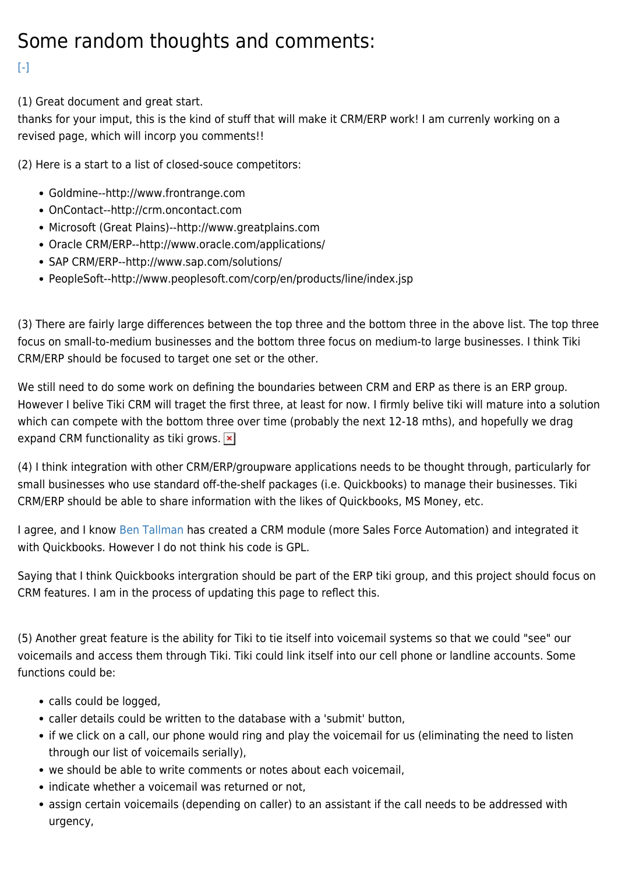## Some random thoughts and comments:

#### $[-]$

(1) Great document and great start.

thanks for your imput, this is the kind of stuff that will make it CRM/ERP work! I am currenly working on a revised page, which will incorp you comments!!

(2) Here is a start to a list of closed-souce competitors:

- Goldmine--http://www.frontrange.com
- OnContact--http://crm.oncontact.com
- Microsoft (Great Plains)--http://www.greatplains.com
- Oracle CRM/ERP--http://www.oracle.com/applications/
- SAP CRM/ERP--http://www.sap.com/solutions/
- PeopleSoft--http://www.peoplesoft.com/corp/en/products/line/index.jsp

(3) There are fairly large differences between the top three and the bottom three in the above list. The top three focus on small-to-medium businesses and the bottom three focus on medium-to large businesses. I think Tiki CRM/ERP should be focused to target one set or the other.

We still need to do some work on defining the boundaries between CRM and ERP as there is an ERP group. However I belive Tiki CRM will traget the first three, at least for now. I firmly belive tiki will mature into a solution which can compete with the bottom three over time (probably the next 12-18 mths), and hopefully we drag expand CRM functionality as tiki grows.  $\vert \mathbf{x} \vert$ 

(4) I think integration with other CRM/ERP/groupware applications needs to be thought through, particularly for small businesses who use standard off-the-shelf packages (i.e. Quickbooks) to manage their businesses. Tiki CRM/ERP should be able to share information with the likes of Quickbooks, MS Money, etc.

I agree, and I know [Ben Tallman](https://tiki.org/UserPagebtallman) has created a CRM module (more Sales Force Automation) and integrated it with Quickbooks. However I do not think his code is GPL.

Saying that I think Quickbooks intergration should be part of the ERP tiki group, and this project should focus on CRM features. I am in the process of updating this page to reflect this.

(5) Another great feature is the ability for Tiki to tie itself into voicemail systems so that we could "see" our voicemails and access them through Tiki. Tiki could link itself into our cell phone or landline accounts. Some functions could be:

- calls could be logged.
- caller details could be written to the database with a 'submit' button,
- if we click on a call, our phone would ring and play the voicemail for us (eliminating the need to listen through our list of voicemails serially),
- we should be able to write comments or notes about each voicemail.
- indicate whether a voicemail was returned or not,
- assign certain voicemails (depending on caller) to an assistant if the call needs to be addressed with urgency,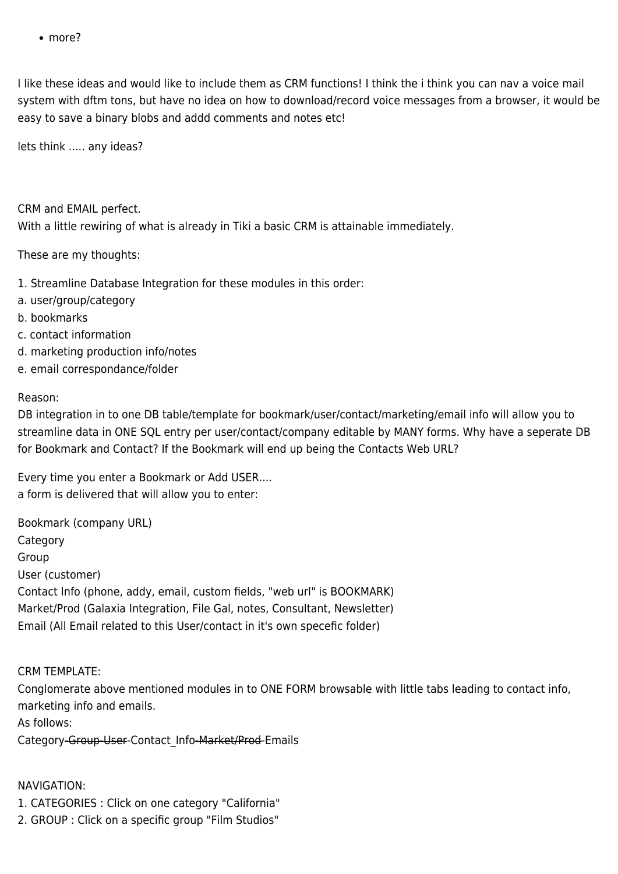• more?

I like these ideas and would like to include them as CRM functions! I think the i think you can nav a voice mail system with dftm tons, but have no idea on how to download/record voice messages from a browser, it would be easy to save a binary blobs and addd comments and notes etc!

lets think ..... any ideas?

CRM and EMAIL perfect. With a little rewiring of what is already in Tiki a basic CRM is attainable immediately.

These are my thoughts:

- 1. Streamline Database Integration for these modules in this order:
- a. user/group/category
- b. bookmarks
- c. contact information
- d. marketing production info/notes
- e. email correspondance/folder

#### Reason:

DB integration in to one DB table/template for bookmark/user/contact/marketing/email info will allow you to streamline data in ONE SQL entry per user/contact/company editable by MANY forms. Why have a seperate DB for Bookmark and Contact? If the Bookmark will end up being the Contacts Web URL?

Every time you enter a Bookmark or Add USER.... a form is delivered that will allow you to enter:

Bookmark (company URL) Category Group User (customer) Contact Info (phone, addy, email, custom fields, "web url" is BOOKMARK) Market/Prod (Galaxia Integration, File Gal, notes, Consultant, Newsletter) Email (All Email related to this User/contact in it's own specefic folder)

#### CRM TEMPLATE:

Conglomerate above mentioned modules in to ONE FORM browsable with little tabs leading to contact info, marketing info and emails.

As follows:

Category-Group-User-Contact\_Info-Market/Prod-Emails

#### NAVIGATION:

- 1. CATEGORIES : Click on one category "California"
- 2. GROUP : Click on a specific group "Film Studios"